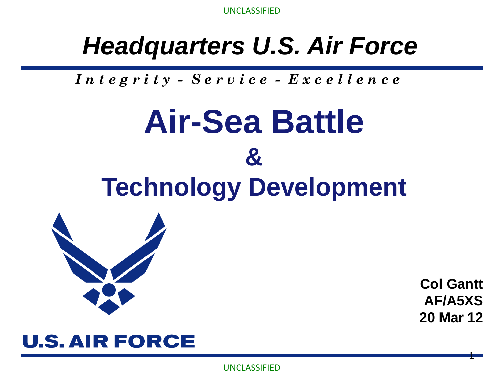#### *Headquarters U.S. Air Force*

*I n t e g r i t y - S e r v i c e - E x c e l l e n c e*

# **Air-Sea Battle & Technology Development**



**Col Gantt AF/A5XS 20 Mar 12**

1

#### **U.S. AIR FORCE**

UNCLASSIFIED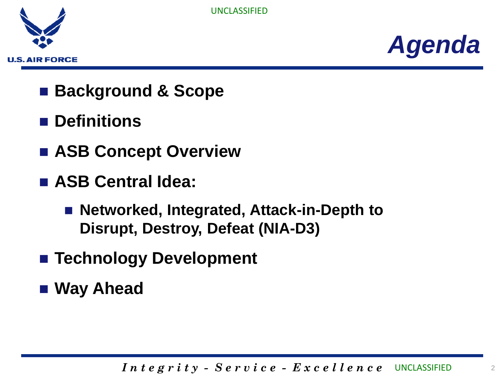



- Background & Scope
- **Definitions**
- **ASB Concept Overview**
- **ASB Central Idea:** 
	- Networked, Integrated, Attack-in-Depth to **Disrupt, Destroy, Defeat (NIA-D3)**
- Technology Development
- **Way Ahead**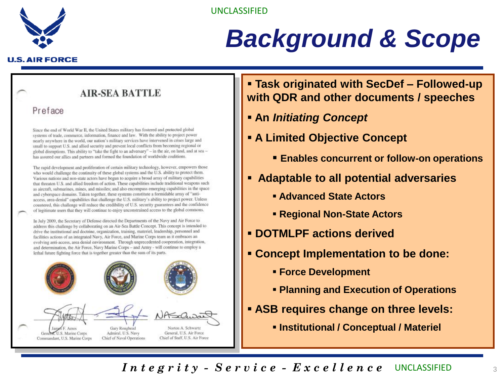

### *Background & Scope*

#### **U.S. AIR FORCE**

#### **AIR-SEA BATTLE**

#### Preface

Since the end of World War II, the United States military has fostered and protected global systems of trade, commerce, information, finance and law. With the ability to project power nearly anywhere in the world, our nation's military services have intervened in crises large and small to support U.S. and allied security and prevent local conflicts from becoming regional or global disruptions. This ability to "take the fight to an adversary" - in the air, on land, and at sea has assured our allies and partners and formed the foundation of worldwide coalitions.

The rapid development and proliferation of certain military technology, however, empowers those who would challenge the continuity of these global systems and the U.S. ability to protect them. Various nations and non-state actors have begun to acquire a broad array of military capabilities that threaten U.S. and allied freedom of action. These capabilities include traditional weapons such as aircraft, submarines, mines, and missiles; and also encompass emerging capabilities in the space and cyberspace domains. Taken together, these systems constitute a formidable array of "antiaccess, area-denial" capabilities that challenge the U.S. military's ability to project power. Unless countered, this challenge will reduce the credibility of U.S. security guarantees and the confidence of legitimate users that they will continue to enjoy unconstrained access to the global commons.

In July 2009, the Secretary of Defense directed the Departments of the Navy and Air Force to address this challenge by collaborating on an Air-Sea Battle Concept. This concept is intended to drive the institutional and doctrine, organization, training, materiel, leadership, personnel and facilities actions of an integrated Navy, Air Force, and Marine Corps team as it embraces an evolving anti-access, area denial environment. Through unprecedented cooperation, integration, and determination, the Air Force, Navy Marine Corps - and Army - will continue to employ a lethal future fighting force that is together greater than the sum of its parts.



#### **Task originated with SecDef – Followed-up with QDR and other documents / speeches**

- **An** *Initiating Concept*
- **A Limited Objective Concept**
	- **Enables concurrent or follow-on operations**
- **Adaptable to all potential adversaries** 
	- **Advanced State Actors**
	- **Regional Non-State Actors**
- **DOTMLPF actions derived**
- **Concept Implementation to be done:**
	- **Force Development**
	- **Planning and Execution of Operations**
- **ASB requires change on three levels:**
	- **Institutional / Conceptual / Materiel**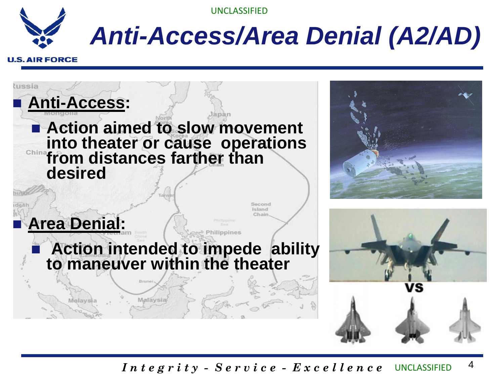

### *Anti-Access/Area Denial (A2/AD)*

#### **U.S. AIR FORCE**

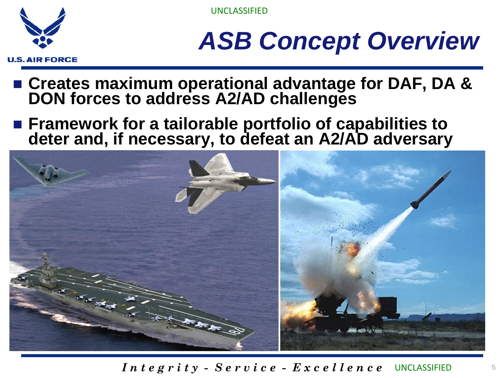

# *ASB Concept Overview*

- **Creates maximum operational advantage for DAF, DA & DON forces to address A2/AD challenges**
- Framework for a tailorable portfolio of capabilities to **deter and, if necessary, to defeat an A2/AD adversary**

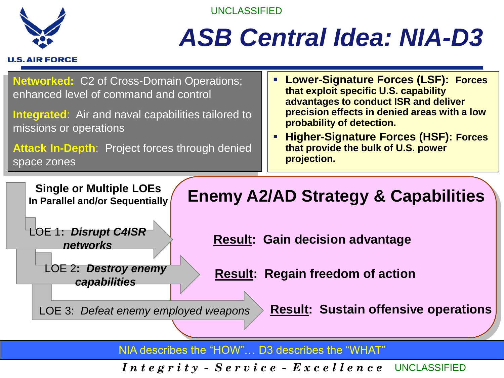

### *ASB Central Idea: NIA-D3*





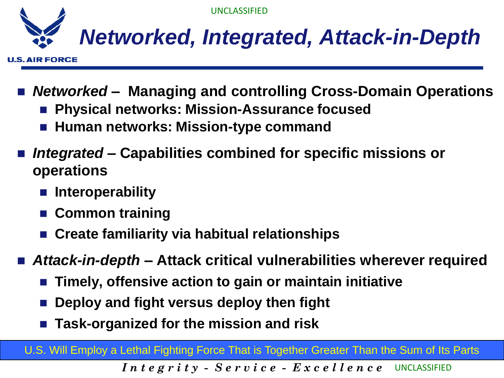

**U.S. AIR FORCE** 

- *Networked*  **Managing and controlling Cross-Domain Operations** 
	- **Physical networks: Mission-Assurance focused**
	- **Human networks: Mission-type command**
- *Integrated* **– Capabilities combined for specific missions or operations**
	- **Interoperability**
	- **Common training**
	- **Create familiarity via habitual relationships**
- Attack-in-depth Attack critical vulnerabilities wherever required
	- **Timely, offensive action to gain or maintain initiative**
	- **Deploy and fight versus deploy then fight**
	- **Task-organized for the mission and risk**

U.S. Will Employ a Lethal Fighting Force That is Together Greater Than the Sum of Its Parts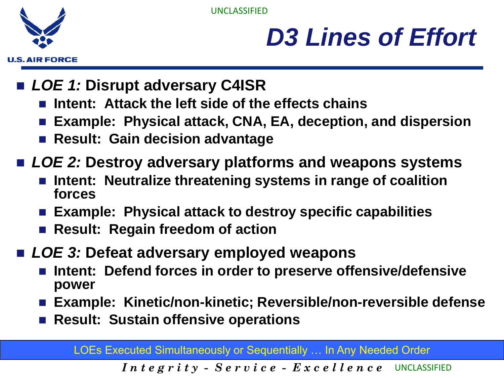**U.S. AIR FORCE** 

UNCLASSIFIED

## *D3 Lines of Effort*

- *LOE 1:* **Disrupt adversary C4ISR**
	- **Intent: Attack the left side of the effects chains**
	- **Example: Physical attack, CNA, EA, deception, and dispersion**
	- **Result: Gain decision advantage**
- *LOE 2:* **Destroy adversary platforms and weapons systems**
	- **Intent: Neutralize threatening systems in range of coalition forces**
	- **Example: Physical attack to destroy specific capabilities**
	- **Result: Regain freedom of action**
- *LOE 3:* Defeat adversary employed weapons
	- **Intent: Defend forces in order to preserve offensive/defensive power**
	- **Example: Kinetic/non-kinetic; Reversible/non-reversible defense**
	- **Result: Sustain offensive operations**

LOEs Executed Simultaneously or Sequentially … In Any Needed Order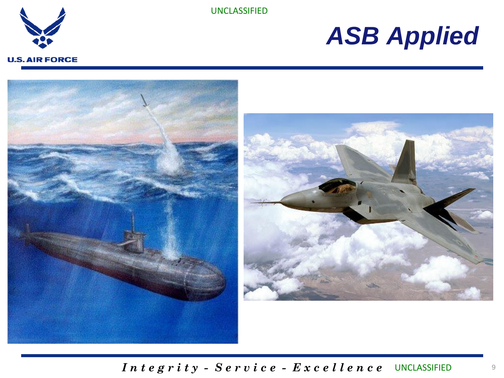

### *ASB Applied*

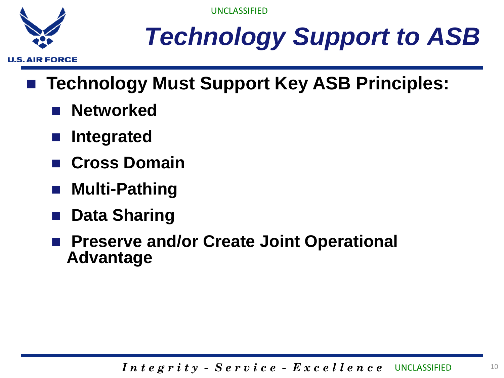

# *Technology Support to ASB*

- Technology Must Support Key ASB Principles:
	- **Networked**
	- **Integrated**
	- **Cross Domain**
	- **Multi-Pathing**
	- **Data Sharing**
	- **Preserve and/or Create Joint Operational Advantage**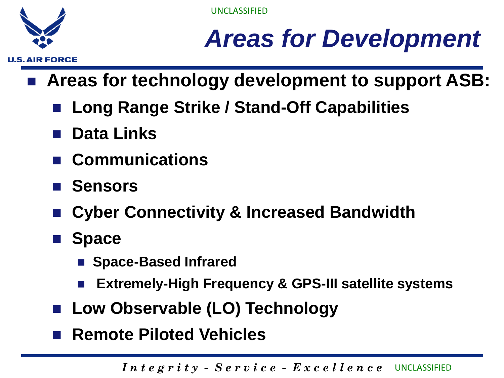

## *Areas for Development*

- **Areas for technology development to support ASB:**
	- **Long Range Strike / Stand-Off Capabilities**
	- **Data Links**
	- **Communications**
	- Sensors
	- **Cyber Connectivity & Increased Bandwidth**
	- **Space**
		- **Space-Based Infrared**
		- **Extremely-High Frequency & GPS-III satellite systems**
	- Low Observable (LO) Technology
	- Remote Piloted Vehicles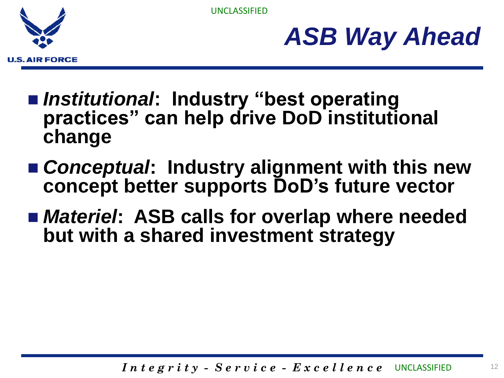



- *Institutional*: Industry "best operating **practices" can help drive DoD institutional change**
- *Conceptual***: Industry alignment with this new concept better supports DoD's future vector**
- *Materiel*: ASB calls for overlap where needed **but with a shared investment strategy**